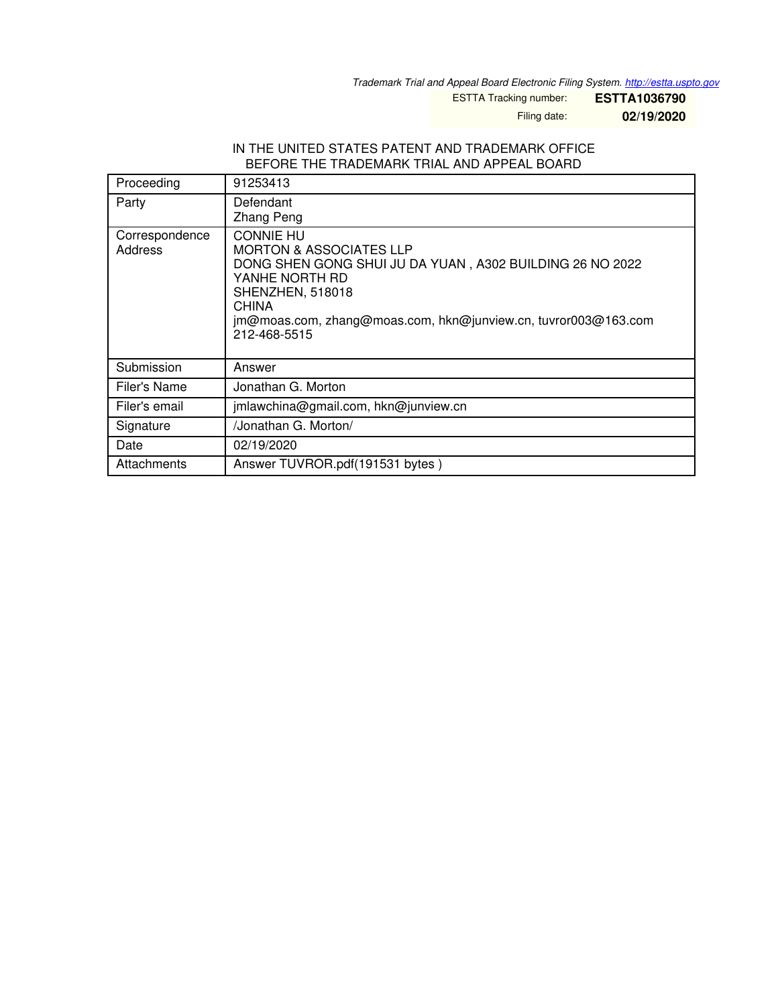*Trademark Trial and Appeal Board Electronic Filing System. <http://estta.uspto.gov>*

ESTTA Tracking number: **ESTTA1036790**

Filing date: **02/19/2020**

### IN THE UNITED STATES PATENT AND TRADEMARK OFFICE BEFORE THE TRADEMARK TRIAL AND APPEAL BOARD

| Proceeding                | 91253413                                                                                                                                                                                                                                            |
|---------------------------|-----------------------------------------------------------------------------------------------------------------------------------------------------------------------------------------------------------------------------------------------------|
| Party                     | Defendant<br><b>Zhang Peng</b>                                                                                                                                                                                                                      |
| Correspondence<br>Address | <b>CONNIE HU</b><br><b>MORTON &amp; ASSOCIATES LLP</b><br>DONG SHEN GONG SHUI JU DA YUAN, A302 BUILDING 26 NO 2022<br>YANHE NORTH RD<br>SHENZHEN, 518018<br>CHINA<br>jm@moas.com, zhang@moas.com, hkn@junview.cn, tuvror003@163.com<br>212-468-5515 |
| Submission                | Answer                                                                                                                                                                                                                                              |
| Filer's Name              | Jonathan G. Morton                                                                                                                                                                                                                                  |
| Filer's email             | jmlawchina@gmail.com, hkn@junview.cn                                                                                                                                                                                                                |
| Signature                 | /Jonathan G. Morton/                                                                                                                                                                                                                                |
| Date                      | 02/19/2020                                                                                                                                                                                                                                          |
| Attachments               | Answer TUVROR.pdf(191531 bytes)                                                                                                                                                                                                                     |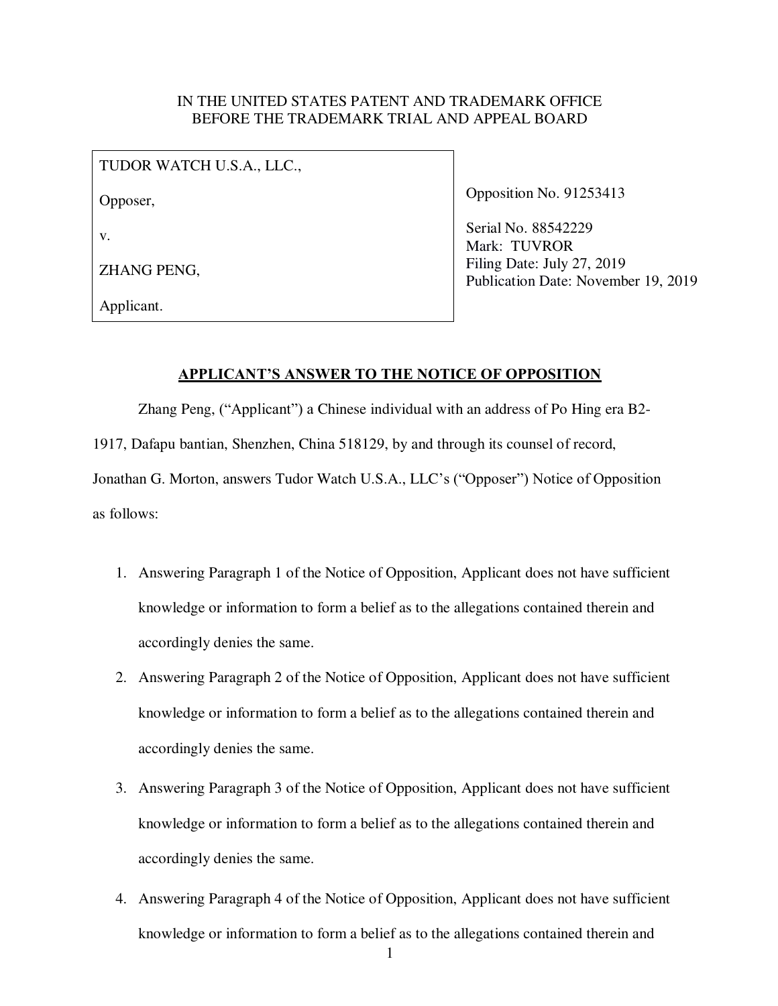# IN THE UNITED STATES PATENT AND TRADEMARK OFFICE BEFORE THE TRADEMARK TRIAL AND APPEAL BOARD

| TUDOR WATCH U.S.A., LLC., |
|---------------------------|
| Opposer,                  |
| V.                        |
| ZHANG PENG,               |
| Applicant.                |

Opposition No. 91253413

Serial No. 88542229 Mark: TUVROR Filing Date: July 27, 2019 Publication Date: November 19, 2019

## **APPLICANT'S ANSWER TO THE NOTICE OF OPPOSITION**

Zhang Peng, ("Applicant") a Chinese individual with an address of Po Hing era B2-

1917, Dafapu bantian, Shenzhen, China 518129, by and through its counsel of record,

Jonathan G. Morton, answers Tudor Watch U.S.A., LLC's ("Opposer") Notice of Opposition as follows:

- 1. Answering Paragraph 1 of the Notice of Opposition, Applicant does not have sufficient knowledge or information to form a belief as to the allegations contained therein and accordingly denies the same.
- 2. Answering Paragraph 2 of the Notice of Opposition, Applicant does not have sufficient knowledge or information to form a belief as to the allegations contained therein and accordingly denies the same.
- 3. Answering Paragraph 3 of the Notice of Opposition, Applicant does not have sufficient knowledge or information to form a belief as to the allegations contained therein and accordingly denies the same.
- 4. Answering Paragraph 4 of the Notice of Opposition, Applicant does not have sufficient knowledge or information to form a belief as to the allegations contained therein and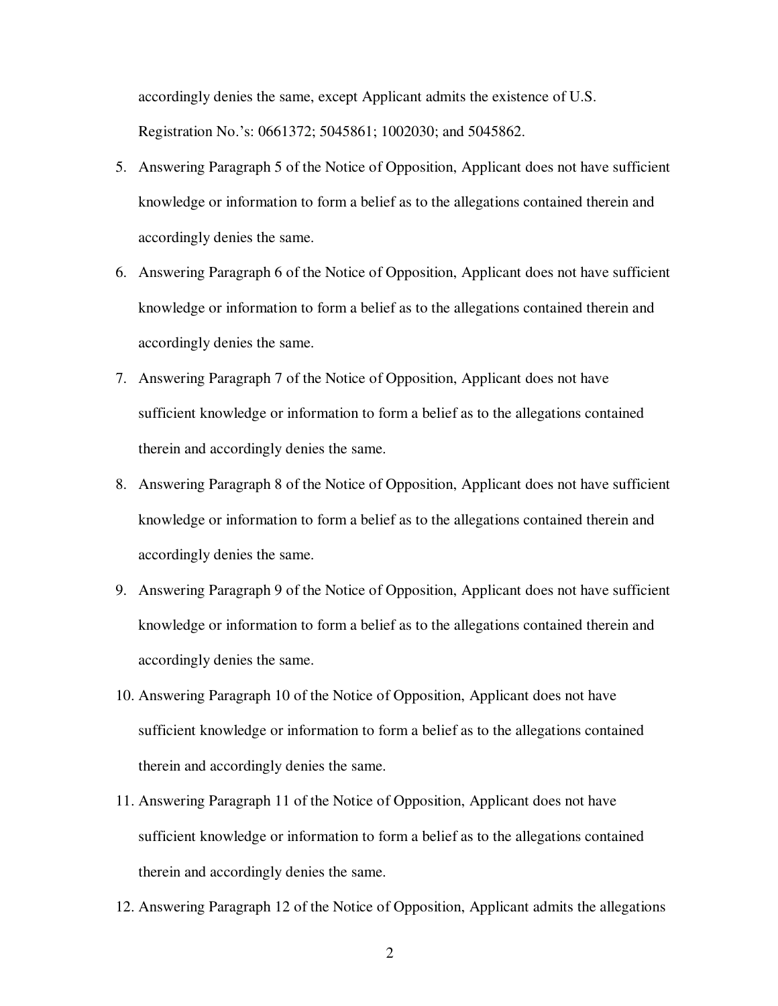accordingly denies the same, except Applicant admits the existence of U.S. Registration No.'s: 0661372; 5045861; 1002030; and 5045862.

- 5. Answering Paragraph 5 of the Notice of Opposition, Applicant does not have sufficient knowledge or information to form a belief as to the allegations contained therein and accordingly denies the same.
- 6. Answering Paragraph 6 of the Notice of Opposition, Applicant does not have sufficient knowledge or information to form a belief as to the allegations contained therein and accordingly denies the same.
- 7. Answering Paragraph 7 of the Notice of Opposition, Applicant does not have sufficient knowledge or information to form a belief as to the allegations contained therein and accordingly denies the same.
- 8. Answering Paragraph 8 of the Notice of Opposition, Applicant does not have sufficient knowledge or information to form a belief as to the allegations contained therein and accordingly denies the same.
- 9. Answering Paragraph 9 of the Notice of Opposition, Applicant does not have sufficient knowledge or information to form a belief as to the allegations contained therein and accordingly denies the same.
- 10. Answering Paragraph 10 of the Notice of Opposition, Applicant does not have sufficient knowledge or information to form a belief as to the allegations contained therein and accordingly denies the same.
- 11. Answering Paragraph 11 of the Notice of Opposition, Applicant does not have sufficient knowledge or information to form a belief as to the allegations contained therein and accordingly denies the same.
- 12. Answering Paragraph 12 of the Notice of Opposition, Applicant admits the allegations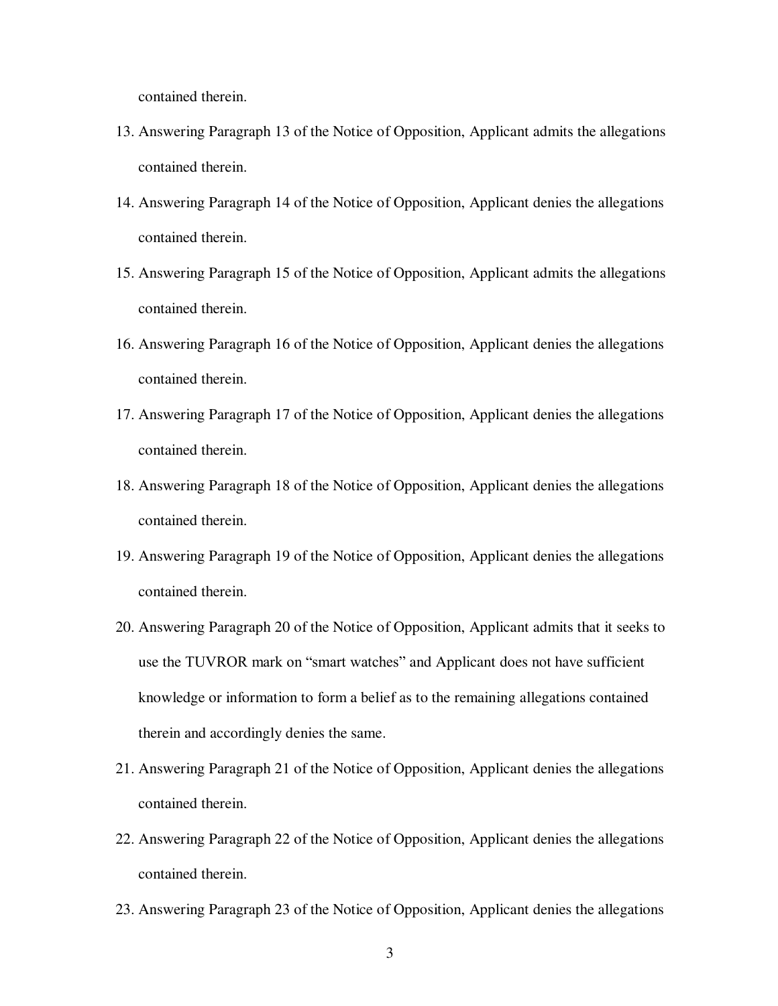contained therein.

- 13. Answering Paragraph 13 of the Notice of Opposition, Applicant admits the allegations contained therein.
- 14. Answering Paragraph 14 of the Notice of Opposition, Applicant denies the allegations contained therein.
- 15. Answering Paragraph 15 of the Notice of Opposition, Applicant admits the allegations contained therein.
- 16. Answering Paragraph 16 of the Notice of Opposition, Applicant denies the allegations contained therein.
- 17. Answering Paragraph 17 of the Notice of Opposition, Applicant denies the allegations contained therein.
- 18. Answering Paragraph 18 of the Notice of Opposition, Applicant denies the allegations contained therein.
- 19. Answering Paragraph 19 of the Notice of Opposition, Applicant denies the allegations contained therein.
- 20. Answering Paragraph 20 of the Notice of Opposition, Applicant admits that it seeks to use the TUVROR mark on "smart watches" and Applicant does not have sufficient knowledge or information to form a belief as to the remaining allegations contained therein and accordingly denies the same.
- 21. Answering Paragraph 21 of the Notice of Opposition, Applicant denies the allegations contained therein.
- 22. Answering Paragraph 22 of the Notice of Opposition, Applicant denies the allegations contained therein.
- 23. Answering Paragraph 23 of the Notice of Opposition, Applicant denies the allegations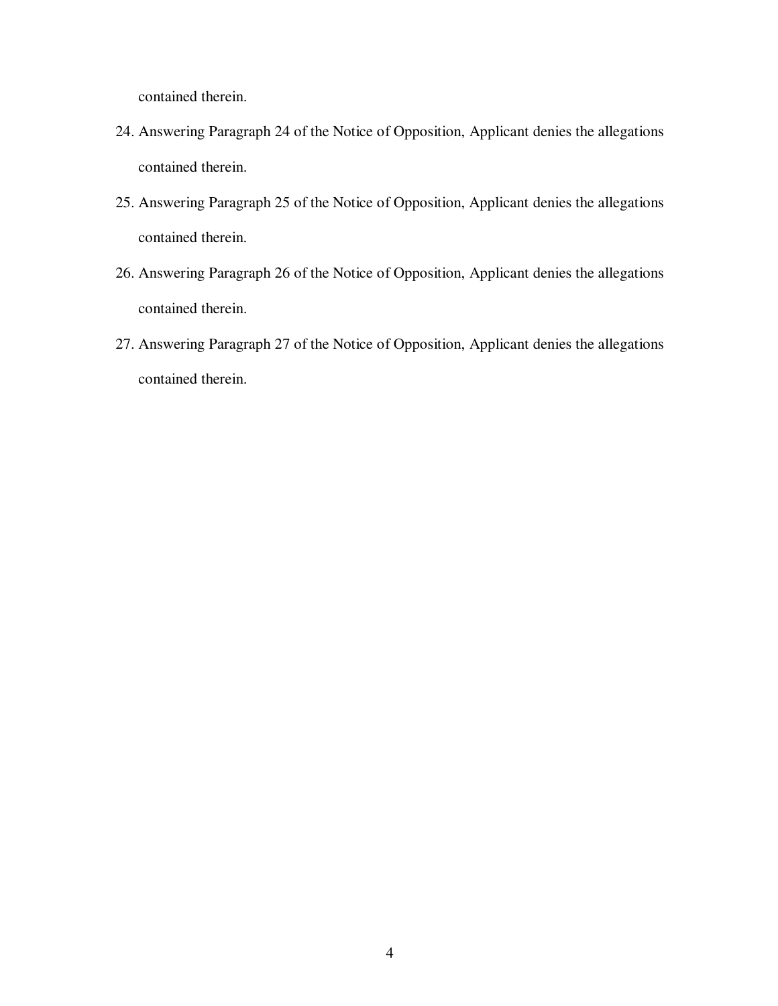contained therein.

- 24. Answering Paragraph 24 of the Notice of Opposition, Applicant denies the allegations contained therein.
- 25. Answering Paragraph 25 of the Notice of Opposition, Applicant denies the allegations contained therein.
- 26. Answering Paragraph 26 of the Notice of Opposition, Applicant denies the allegations contained therein.
- 27. Answering Paragraph 27 of the Notice of Opposition, Applicant denies the allegations contained therein.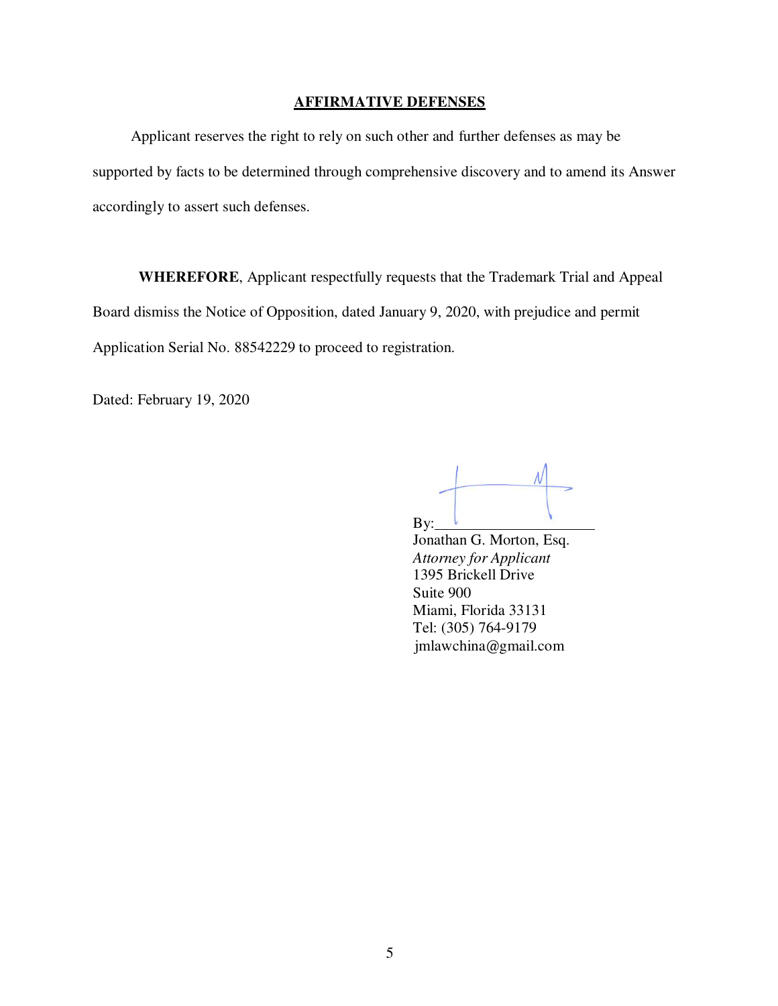### **AFFIRMATIVE DEFENSES**

Applicant reserves the right to rely on such other and further defenses as may be supported by facts to be determined through comprehensive discovery and to amend its Answer accordingly to assert such defenses.

**WHEREFORE**, Applicant respectfully requests that the Trademark Trial and Appeal Board dismiss the Notice of Opposition, dated January 9, 2020, with prejudice and permit Application Serial No. 88542229 to proceed to registration.

Dated: February 19, 2020

 $By:$ 

Jonathan G. Morton, Esq. *Attorney for Applicant*  1395 Brickell Drive Suite 900 Miami, Florida 33131 Tel: (305) 764-9179 jmlawchina@gmail.com